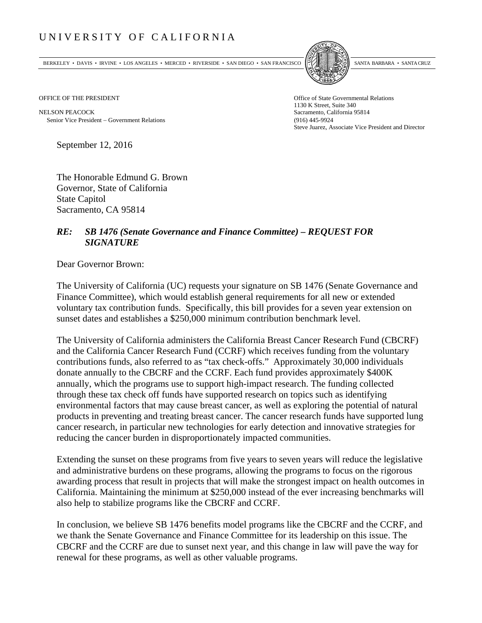## UNIVERSITY OF CALIFORNIA

BERKELEY • DAVIS • IRVINE • LOS ANGELES • MERCED • RIVERSIDE • SAN DIEGO • SAN FRANCISCO SANTA BARBARA • SANTA CRUZ



OFFICE OF THE PRESIDENT STATES OF THE PRESIDENT

NELSON PEACOCK Sacramento, California 95814 Senior Vice President Government Relations (916) 445-9924

1130 K Street, Suite 340 Steve Juarez, Associate Vice President and Director

September 12, 2016

The Honorable Edmund G. Brown Governor, State of California State Capitol Sacramento, CA 95814

## *RE: SB 1476 (Senate Governance and Finance Committee) – REQUEST FOR SIGNATURE*

Dear Governor Brown:

The University of California (UC) requests your signature on SB 1476 (Senate Governance and Finance Committee), which would establish general requirements for all new or extended voluntary tax contribution funds. Specifically, this bill provides for a seven year extension on sunset dates and establishes a \$250,000 minimum contribution benchmark level.

The University of California administers the California Breast Cancer Research Fund (CBCRF) and the California Cancer Research Fund (CCRF) which receives funding from the voluntary contributions funds, also referred to as "tax check-offs." Approximately 30,000 individuals donate annually to the CBCRF and the CCRF. Each fund provides approximately \$400K annually, which the programs use to support high-impact research. The funding collected through these tax check off funds have supported research on topics such as identifying environmental factors that may cause breast cancer, as well as exploring the potential of natural products in preventing and treating breast cancer. The cancer research funds have supported lung cancer research, in particular new technologies for early detection and innovative strategies for reducing the cancer burden in disproportionately impacted communities.

Extending the sunset on these programs from five years to seven years will reduce the legislative and administrative burdens on these programs, allowing the programs to focus on the rigorous awarding process that result in projects that will make the strongest impact on health outcomes in California. Maintaining the minimum at \$250,000 instead of the ever increasing benchmarks will also help to stabilize programs like the CBCRF and CCRF.

In conclusion, we believe SB 1476 benefits model programs like the CBCRF and the CCRF, and we thank the Senate Governance and Finance Committee for its leadership on this issue. The CBCRF and the CCRF are due to sunset next year, and this change in law will pave the way for renewal for these programs, as well as other valuable programs.